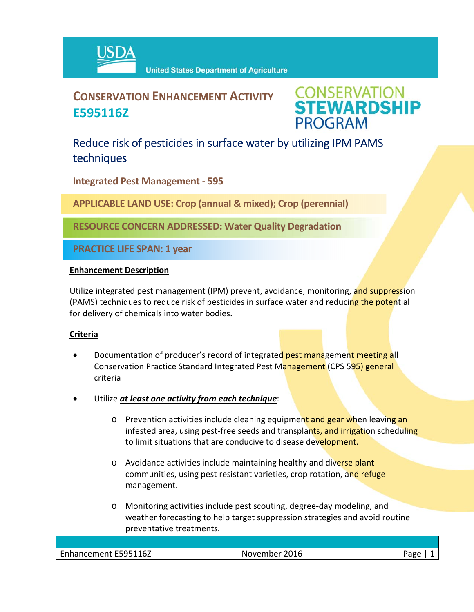

# **CONSERVATION ENHANCEMENT ACTIVITY E595116Z**

**CONSERVATION<br>STEWARDSHIP PROGRAM** 

## Reduce risk of pesticides in surface water by utilizing IPM PAMS techniques

**Integrated Pest Management ‐ 595**

**APPLICABLE LAND USE: Crop (annual & mixed); Crop (perennial)**

**RESOURCE CONCERN ADDRESSED: Water Quality Degradation** 

**PRACTICE LIFE SPAN: 1 year**

### **Enhancement Description**

Utilize integrated pest management (IPM) prevent, avoidance, monitoring, and suppression (PAMS) techniques to reduce risk of pesticides in surface water and reducing the potential for delivery of chemicals into water bodies.

#### **Criteria**

- Documentation of producer's record of integrated pest management meeting all Conservation Practice Standard Integrated Pest Management (CPS 595) general criteria
- Utilize *at least one activity from each technique*:
	- o Prevention activities include cleaning equipment and gear when leaving an infested area, using pest-free seeds and transplants, and irrigation scheduling to limit situations that are conducive to disease development.
	- o Avoidance activities include maintaining healthy and diverse plant communities, using pest resistant varieties, crop rotation, and refuge management.
	- o Monitoring activities include pest scouting, degree‐day modeling, and weather forecasting to help target suppression strategies and avoid routine preventative treatments.

| Enhancement E595116Z | November 2016 | Page |
|----------------------|---------------|------|